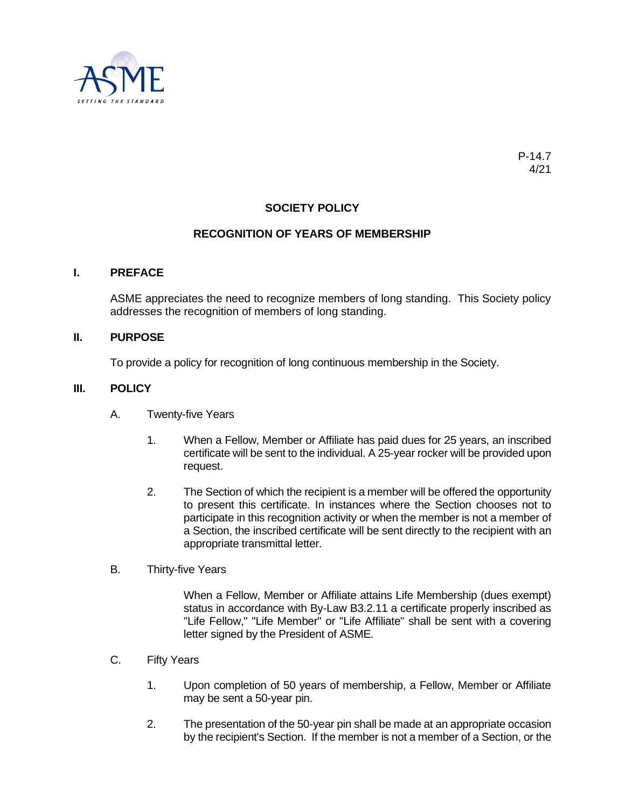

# **SOCIETY POLICY**

### **RECOGNITION OF YEARS OF MEMBERSHIP**

#### **I. PREFACE**

ASME appreciates the need to recognize members of long standing. This Society policy addresses the recognition of members of long standing.

#### **II. PURPOSE**

To provide a policy for recognition of long continuous membership in the Society.

#### **III. POLICY**

- A. Twenty-five Years
	- 1. When a Fellow, Member or Affiliate has paid dues for 25 years, an inscribed certificate will be sent to the individual. A 25-year rocker will be provided upon request.
	- 2. The Section of which the recipient is a member will be offered the opportunity to present this certificate. In instances where the Section chooses not to participate in this recognition activity or when the member is not a member of a Section, the inscribed certificate will be sent directly to the recipient with an appropriate transmittal letter.
- B. Thirty-five Years

When a Fellow, Member or Affiliate attains Life Membership (dues exempt) status in accordance with By-Law B3.2.11 a certificate properly inscribed as "Life Fellow," "Life Member" or "Life Affiliate" shall be sent with a covering letter signed by the President of ASME.

- C. Fifty Years
	- 1. Upon completion of 50 years of membership, a Fellow, Member or Affiliate may be sent a 50-year pin.
	- 2. The presentation of the 50-year pin shall be made at an appropriate occasion by the recipient's Section. If the member is not a member of a Section, or the